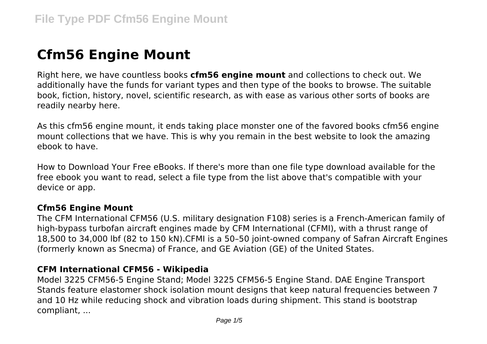# **Cfm56 Engine Mount**

Right here, we have countless books **cfm56 engine mount** and collections to check out. We additionally have the funds for variant types and then type of the books to browse. The suitable book, fiction, history, novel, scientific research, as with ease as various other sorts of books are readily nearby here.

As this cfm56 engine mount, it ends taking place monster one of the favored books cfm56 engine mount collections that we have. This is why you remain in the best website to look the amazing ebook to have.

How to Download Your Free eBooks. If there's more than one file type download available for the free ebook you want to read, select a file type from the list above that's compatible with your device or app.

## **Cfm56 Engine Mount**

The CFM International CFM56 (U.S. military designation F108) series is a French-American family of high-bypass turbofan aircraft engines made by CFM International (CFMI), with a thrust range of 18,500 to 34,000 lbf (82 to 150 kN).CFMI is a 50–50 joint-owned company of Safran Aircraft Engines (formerly known as Snecma) of France, and GE Aviation (GE) of the United States.

#### **CFM International CFM56 - Wikipedia**

Model 3225 CFM56-5 Engine Stand; Model 3225 CFM56-5 Engine Stand. DAE Engine Transport Stands feature elastomer shock isolation mount designs that keep natural frequencies between 7 and 10 Hz while reducing shock and vibration loads during shipment. This stand is bootstrap compliant, ...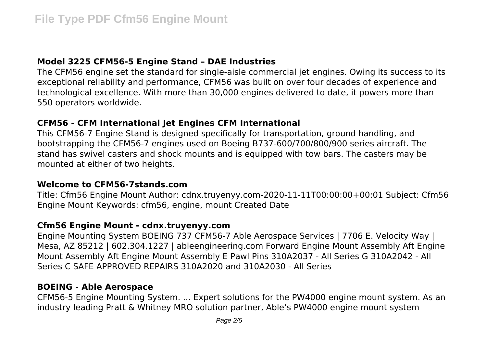# **Model 3225 CFM56-5 Engine Stand – DAE Industries**

The CFM56 engine set the standard for single-aisle commercial jet engines. Owing its success to its exceptional reliability and performance, CFM56 was built on over four decades of experience and technological excellence. With more than 30,000 engines delivered to date, it powers more than 550 operators worldwide.

# **CFM56 - CFM International Jet Engines CFM International**

This CFM56-7 Engine Stand is designed specifically for transportation, ground handling, and bootstrapping the CFM56-7 engines used on Boeing B737-600/700/800/900 series aircraft. The stand has swivel casters and shock mounts and is equipped with tow bars. The casters may be mounted at either of two heights.

## **Welcome to CFM56-7stands.com**

Title: Cfm56 Engine Mount Author: cdnx.truyenyy.com-2020-11-11T00:00:00+00:01 Subject: Cfm56 Engine Mount Keywords: cfm56, engine, mount Created Date

## **Cfm56 Engine Mount - cdnx.truyenyy.com**

Engine Mounting System BOEING 737 CFM56-7 Able Aerospace Services | 7706 E. Velocity Way | Mesa, AZ 85212 | 602.304.1227 | ableengineering.com Forward Engine Mount Assembly Aft Engine Mount Assembly Aft Engine Mount Assembly E Pawl Pins 310A2037 - All Series G 310A2042 - All Series C SAFE APPROVED REPAIRS 310A2020 and 310A2030 - All Series

# **BOEING - Able Aerospace**

CFM56-5 Engine Mounting System. ... Expert solutions for the PW4000 engine mount system. As an industry leading Pratt & Whitney MRO solution partner, Able's PW4000 engine mount system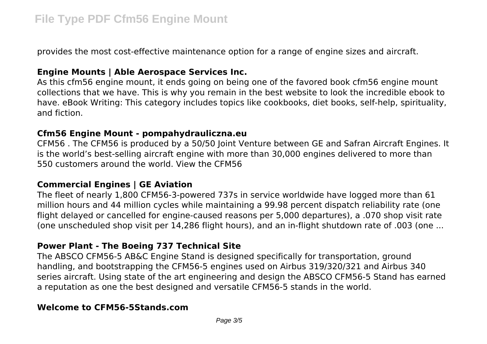provides the most cost-effective maintenance option for a range of engine sizes and aircraft.

## **Engine Mounts | Able Aerospace Services Inc.**

As this cfm56 engine mount, it ends going on being one of the favored book cfm56 engine mount collections that we have. This is why you remain in the best website to look the incredible ebook to have. eBook Writing: This category includes topics like cookbooks, diet books, self-help, spirituality, and fiction.

#### **Cfm56 Engine Mount - pompahydrauliczna.eu**

CFM56 . The CFM56 is produced by a 50/50 Joint Venture between GE and Safran Aircraft Engines. It is the world's best-selling aircraft engine with more than 30,000 engines delivered to more than 550 customers around the world. View the CFM56

## **Commercial Engines | GE Aviation**

The fleet of nearly 1,800 CFM56-3-powered 737s in service worldwide have logged more than 61 million hours and 44 million cycles while maintaining a 99.98 percent dispatch reliability rate (one flight delayed or cancelled for engine-caused reasons per 5,000 departures), a .070 shop visit rate (one unscheduled shop visit per 14,286 flight hours), and an in-flight shutdown rate of .003 (one ...

## **Power Plant - The Boeing 737 Technical Site**

The ABSCO CFM56-5 AB&C Engine Stand is designed specifically for transportation, ground handling, and bootstrapping the CFM56-5 engines used on Airbus 319/320/321 and Airbus 340 series aircraft. Using state of the art engineering and design the ABSCO CFM56-5 Stand has earned a reputation as one the best designed and versatile CFM56-5 stands in the world.

## **Welcome to CFM56-5Stands.com**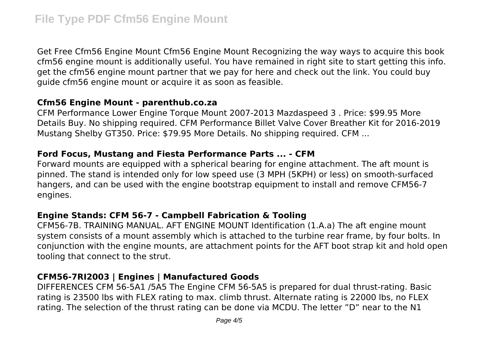Get Free Cfm56 Engine Mount Cfm56 Engine Mount Recognizing the way ways to acquire this book cfm56 engine mount is additionally useful. You have remained in right site to start getting this info. get the cfm56 engine mount partner that we pay for here and check out the link. You could buy guide cfm56 engine mount or acquire it as soon as feasible.

## **Cfm56 Engine Mount - parenthub.co.za**

CFM Performance Lower Engine Torque Mount 2007-2013 Mazdaspeed 3 . Price: \$99.95 More Details Buy. No shipping required. CFM Performance Billet Valve Cover Breather Kit for 2016-2019 Mustang Shelby GT350. Price: \$79.95 More Details. No shipping required. CFM ...

#### **Ford Focus, Mustang and Fiesta Performance Parts ... - CFM**

Forward mounts are equipped with a spherical bearing for engine attachment. The aft mount is pinned. The stand is intended only for low speed use (3 MPH (5KPH) or less) on smooth-surfaced hangers, and can be used with the engine bootstrap equipment to install and remove CFM56-7 engines.

## **Engine Stands: CFM 56-7 - Campbell Fabrication & Tooling**

CFM56-7B. TRAINING MANUAL. AFT ENGINE MOUNT Identification (1.A.a) The aft engine mount system consists of a mount assembly which is attached to the turbine rear frame, by four bolts. In conjunction with the engine mounts, are attachment points for the AFT boot strap kit and hold open tooling that connect to the strut.

# **CFM56-7RI2003 | Engines | Manufactured Goods**

DIFFERENCES CFM 56-5A1 /5A5 The Engine CFM 56-5A5 is prepared for dual thrust-rating. Basic rating is 23500 lbs with FLEX rating to max. climb thrust. Alternate rating is 22000 lbs, no FLEX rating. The selection of the thrust rating can be done via MCDU. The letter "D" near to the N1